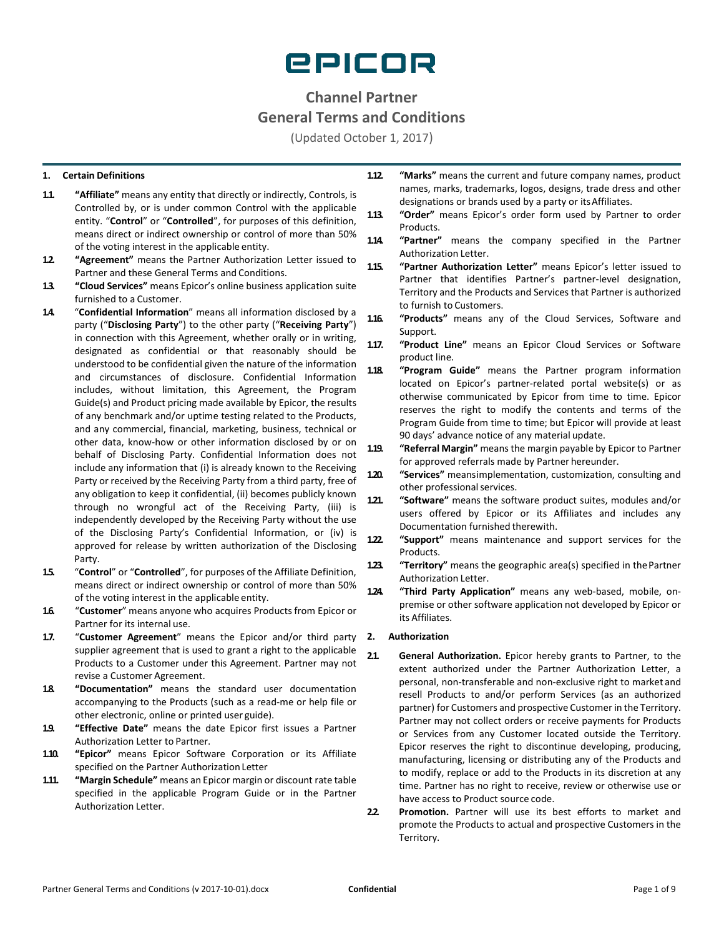

# **Channel Partner General Terms and Conditions**

(Updated October 1, 2017)

# **1. Certain Definitions**

- **1.1. "Affiliate"** means any entity that directly or indirectly, Controls, is Controlled by, or is under common Control with the applicable entity. "**Control**" or "**Controlled**", for purposes of this definition, means direct or indirect ownership or control of more than 50% of the voting interest in the applicable entity.
- **1.2. "Agreement"** means the Partner Authorization Letter issued to Partner and these General Terms and Conditions.
- **1.3. "Cloud Services"** means Epicor's online business application suite furnished to a Customer.
- **1.4.** "**Confidential Information**" means all information disclosed by a party ("**Disclosing Party**") to the other party ("**Receiving Party**") in connection with this Agreement, whether orally or in writing, designated as confidential or that reasonably should be understood to be confidential given the nature of the information and circumstances of disclosure. Confidential Information includes, without limitation, this Agreement, the Program Guide(s) and Product pricing made available by Epicor, the results of any benchmark and/or uptime testing related to the Products, and any commercial, financial, marketing, business, technical or other data, know-how or other information disclosed by or on behalf of Disclosing Party. Confidential Information does not include any information that (i) is already known to the Receiving Party or received by the Receiving Party from a third party, free of any obligation to keep it confidential, (ii) becomes publicly known through no wrongful act of the Receiving Party, (iii) is independently developed by the Receiving Party without the use of the Disclosing Party's Confidential Information, or (iv) is approved for release by written authorization of the Disclosing Party.
- **1.5.** "**Control**" or "**Controlled**", for purposes of the Affiliate Definition, means direct or indirect ownership or control of more than 50% of the voting interest in the applicable entity.
- **1.6.** "**Customer**" means anyone who acquires Products from Epicor or Partner for its internal use.
- **1.7.** "**Customer Agreement**" means the Epicor and/or third party supplier agreement that is used to grant a right to the applicable Products to a Customer under this Agreement. Partner may not revise a Customer Agreement.
- **1.8. "Documentation"** means the standard user documentation accompanying to the Products (such as a read-me or help file or other electronic, online or printed user guide).
- **1.9. "Effective Date"** means the date Epicor first issues a Partner Authorization Letter to Partner.
- **1.10. "Epicor"** means Epicor Software Corporation or its Affiliate specified on the Partner Authorization Letter
- **1.11. "Margin Schedule"** means an Epicor margin or discount rate table specified in the applicable Program Guide or in the Partner Authorization Letter.
- **1.12. "Marks"** means the current and future company names, product names, marks, trademarks, logos, designs, trade dress and other designations or brands used by a party or itsAffiliates.
- **1.13. "Order"** means Epicor's order form used by Partner to order Products.
- **1.14. "Partner"** means the company specified in the Partner Authorization Letter.

**1.15. "Partner Authorization Letter"** means Epicor's letter issued to Partner that identifies Partner's partner-level designation, Territory and the Products and Services that Partner is authorized to furnish to Customers.

- **1.16. "Products"** means any of the Cloud Services, Software and Support.
- **1.17. "Product Line"** means an Epicor Cloud Services or Software product line.
- **1.18. "Program Guide"** means the Partner program information located on Epicor's partner-related portal website(s) or as otherwise communicated by Epicor from time to time. Epicor reserves the right to modify the contents and terms of the Program Guide from time to time; but Epicor will provide at least 90 days' advance notice of any material update.
- **1.19. "Referral Margin"** means the margin payable by Epicor to Partner for approved referrals made by Partner hereunder.
- **1.20. "Services"** meansimplementation, customization, consulting and other professional services.
- **1.21. "Software"** means the software product suites, modules and/or users offered by Epicor or its Affiliates and includes any Documentation furnished therewith.
- **1.22. "Support"** means maintenance and support services for the Products.
- **1.23. "Territory"** means the geographic area(s) specified in thePartner Authorization Letter.
- **1.24. "Third Party Application"** means any web-based, mobile, onpremise or other software application not developed by Epicor or its Affiliates.

## **2. Authorization**

- **2.1. General Authorization.** Epicor hereby grants to Partner, to the extent authorized under the Partner Authorization Letter, a personal, non-transferable and non-exclusive right to market and resell Products to and/or perform Services (as an authorized partner) for Customers and prospective Customer in the Territory. Partner may not collect orders or receive payments for Products or Services from any Customer located outside the Territory. Epicor reserves the right to discontinue developing, producing, manufacturing, licensing or distributing any of the Products and to modify, replace or add to the Products in its discretion at any time. Partner has no right to receive, review or otherwise use or have access to Product source code.
- **2.2. Promotion.** Partner will use its best efforts to market and promote the Products to actual and prospective Customers in the Territory.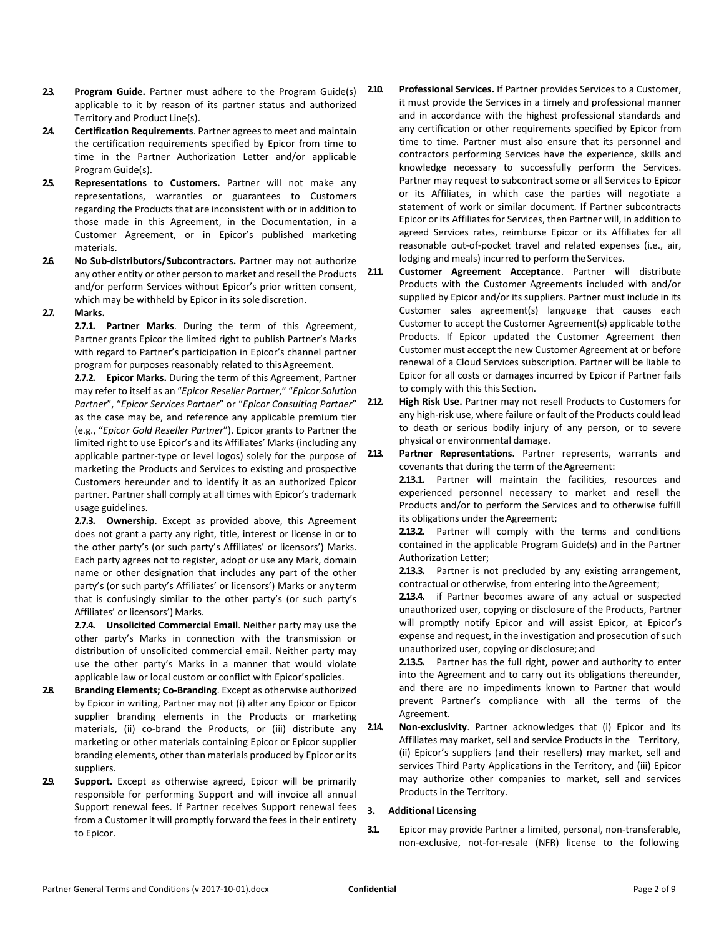- **2.3. Program Guide.** Partner must adhere to the Program Guide(s) applicable to it by reason of its partner status and authorized Territory and Product Line(s).
- **24. Certification Requirements**. Partner agrees to meet and maintain the certification requirements specified by Epicor from time to time in the Partner Authorization Letter and/or applicable Program Guide(s).
- **2.5. Representations to Customers.** Partner will not make any representations, warranties or guarantees to Customers regarding the Products that are inconsistent with or in addition to those made in this Agreement, in the Documentation, in a Customer Agreement, or in Epicor's published marketing materials.
- **2.6. No Sub-distributors/Subcontractors.** Partner may not authorize any other entity or other person to market and resell the Products and/or perform Services without Epicor's prior written consent, which may be withheld by Epicor in its sole discretion.
- **2.7. Marks.**

**2.7.1. Partner Marks**. During the term of this Agreement, Partner grants Epicor the limited right to publish Partner's Marks with regard to Partner's participation in Epicor's channel partner program for purposes reasonably related to this Agreement.

**2.7.2. Epicor Marks.** During the term of this Agreement, Partner may refer to itself as an "*Epicor Reseller Partner*," "*Epicor Solution Partner*", "*Epicor Services Partner*" or "*Epicor Consulting Partner*" as the case may be, and reference any applicable premium tier (e.g., "*Epicor Gold Reseller Partner*"). Epicor grants to Partner the limited right to use Epicor's and its Affiliates' Marks(including any applicable partner-type or level logos) solely for the purpose of marketing the Products and Services to existing and prospective Customers hereunder and to identify it as an authorized Epicor partner. Partner shall comply at all times with Epicor's trademark usage guidelines.

**2.7.3. Ownership**. Except as provided above, this Agreement does not grant a party any right, title, interest or license in or to the other party's (or such party's Affiliates' or licensors') Marks. Each party agrees not to register, adopt or use any Mark, domain name or other designation that includes any part of the other party's (or such party's Affiliates' or licensors') Marks or anyterm that is confusingly similar to the other party's (or such party's Affiliates' or licensors') Marks.

**2.7.4. Unsolicited Commercial Email**. Neither party may use the other party's Marks in connection with the transmission or distribution of unsolicited commercial email. Neither party may use the other party's Marks in a manner that would violate applicable law or local custom or conflict with Epicor'spolicies.

- **2.8. Branding Elements; Co-Branding**. Except as otherwise authorized by Epicor in writing, Partner may not (i) alter any Epicor or Epicor supplier branding elements in the Products or marketing materials, (ii) co-brand the Products, or (iii) distribute any marketing or other materials containing Epicor or Epicor supplier branding elements, other than materials produced by Epicor or its suppliers.
- **2.9. Support.** Except as otherwise agreed, Epicor will be primarily responsible for performing Support and will invoice all annual Support renewal fees. If Partner receives Support renewal fees from a Customer it will promptly forward the fees in their entirety to Epicor.

**2.10. Professional Services.** If Partner provides Services to a Customer, it must provide the Services in a timely and professional manner and in accordance with the highest professional standards and any certification or other requirements specified by Epicor from time to time. Partner must also ensure that its personnel and contractors performing Services have the experience, skills and knowledge necessary to successfully perform the Services. Partner may request to subcontract some or all Services to Epicor or its Affiliates, in which case the parties will negotiate a statement of work or similar document. If Partner subcontracts Epicor or its Affiliates for Services, then Partner will, in addition to agreed Services rates, reimburse Epicor or its Affiliates for all reasonable out-of-pocket travel and related expenses (i.e., air, lodging and meals) incurred to perform the Services.

**2.11. Customer Agreement Acceptance**. Partner will distribute Products with the Customer Agreements included with and/or supplied by Epicor and/or its suppliers. Partner must include in its Customer sales agreement(s) language that causes each Customer to accept the Customer Agreement(s) applicable tothe Products. If Epicor updated the Customer Agreement then Customer must accept the new Customer Agreement at or before renewal of a Cloud Services subscription. Partner will be liable to Epicor for all costs or damages incurred by Epicor if Partner fails to comply with this this Section.

2.12 **High Risk Use.** Partner may not resell Products to Customers for any high-risk use, where failure or fault of the Products could lead to death or serious bodily injury of any person, or to severe physical or environmental damage.

**2.13. Partner Representations.** Partner represents, warrants and covenants that during the term of the Agreement:

> **2.13.1.** Partner will maintain the facilities, resources and experienced personnel necessary to market and resell the Products and/or to perform the Services and to otherwise fulfill its obligations under the Agreement;

> **2.13.2.** Partner will comply with the terms and conditions contained in the applicable Program Guide(s) and in the Partner Authorization Letter;

> **2.13.3.** Partner is not precluded by any existing arrangement, contractual or otherwise, from entering into the Agreement;

> **2.13.4.** if Partner becomes aware of any actual or suspected unauthorized user, copying or disclosure of the Products, Partner will promptly notify Epicor and will assist Epicor, at Epicor's expense and request, in the investigation and prosecution of such unauthorized user, copying or disclosure; and

> **2.13.5.** Partner has the full right, power and authority to enter into the Agreement and to carry out its obligations thereunder, and there are no impediments known to Partner that would prevent Partner's compliance with all the terms of the Agreement.

**2.14. Non-exclusivity**. Partner acknowledges that (i) Epicor and its Affiliates may market, sell and service Products in the Territory, (ii) Epicor's suppliers (and their resellers) may market, sell and services Third Party Applications in the Territory, and (iii) Epicor may authorize other companies to market, sell and services Products in the Territory.

## **3. Additional Licensing**

**3.1.** Epicor may provide Partner a limited, personal, non-transferable, non-exclusive, not-for-resale (NFR) license to the following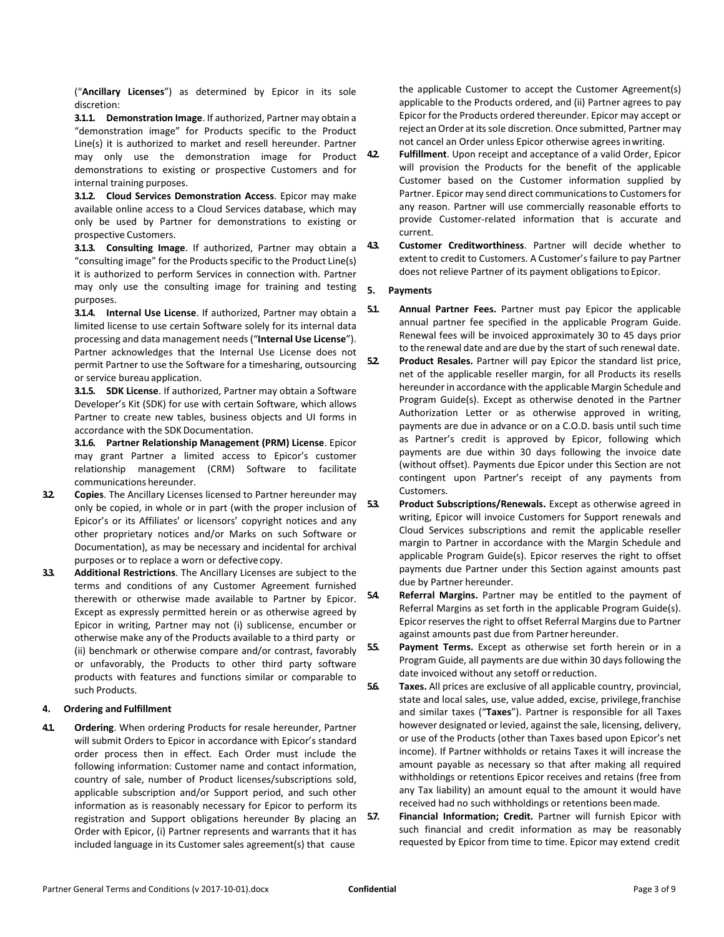("**Ancillary Licenses**") as determined by Epicor in its sole discretion:

**3.1.1. Demonstration Image**. If authorized, Partner may obtain a "demonstration image" for Products specific to the Product Line(s) it is authorized to market and resell hereunder. Partner may only use the demonstration image for Product 42 demonstrations to existing or prospective Customers and for internal training purposes.

**3.1.2. Cloud Services Demonstration Access**. Epicor may make available online access to a Cloud Services database, which may only be used by Partner for demonstrations to existing or prospective Customers.

**3.1.3. Consulting Image**. If authorized, Partner may obtain a "consulting image" for the Products specific to the Product Line(s) it is authorized to perform Services in connection with. Partner may only use the consulting image for training and testing purposes.

**3.1.4. Internal Use License**. If authorized, Partner may obtain a limited license to use certain Software solely for its internal data processing and data management needs ("**Internal Use License**"). Partner acknowledges that the Internal Use License does not permit Partner to use the Software for a timesharing, outsourcing or service bureau application.

**3.1.5. SDK License**. If authorized, Partner may obtain a Software Developer's Kit (SDK) for use with certain Software, which allows Partner to create new tables, business objects and UI forms in accordance with the SDK Documentation.

**3.1.6. Partner Relationship Management (PRM) License**. Epicor may grant Partner a limited access to Epicor's customer relationship management (CRM) Software to facilitate communications hereunder.

- **3.2. Copies**. The Ancillary Licenses licensed to Partner hereunder may only be copied, in whole or in part (with the proper inclusion of Epicor's or its Affiliates' or licensors' copyright notices and any other proprietary notices and/or Marks on such Software or Documentation), as may be necessary and incidental for archival purposes or to replace a worn or defective copy.
- **3.3. Additional Restrictions**. The Ancillary Licenses are subject to the terms and conditions of any Customer Agreement furnished therewith or otherwise made available to Partner by Epicor. Except as expressly permitted herein or as otherwise agreed by Epicor in writing, Partner may not (i) sublicense, encumber or otherwise make any of the Products available to a third party or (ii) benchmark or otherwise compare and/or contrast, favorably or unfavorably, the Products to other third party software products with features and functions similar or comparable to such Products.

## **4. Ordering and Fulfillment**

**4.1. Ordering**. When ordering Products for resale hereunder, Partner will submit Orders to Epicor in accordance with Epicor's standard order process then in effect. Each Order must include the following information: Customer name and contact information, country of sale, number of Product licenses/subscriptions sold, applicable subscription and/or Support period, and such other information as is reasonably necessary for Epicor to perform its registration and Support obligations hereunder By placing an Order with Epicor, (i) Partner represents and warrants that it has included language in its Customer sales agreement(s) that cause

the applicable Customer to accept the Customer Agreement(s) applicable to the Products ordered, and (ii) Partner agrees to pay Epicor for the Products ordered thereunder. Epicor may accept or reject an Order at its sole discretion. Once submitted, Partner may not cancel an Order unless Epicor otherwise agrees inwriting.

- **4.2. Fulfillment**. Upon receipt and acceptance of a valid Order, Epicor will provision the Products for the benefit of the applicable Customer based on the Customer information supplied by Partner. Epicor may send direct communications to Customers for any reason. Partner will use commercially reasonable efforts to provide Customer-related information that is accurate and current.
- **4.3. Customer Creditworthiness**. Partner will decide whether to extent to credit to Customers. A Customer's failure to pay Partner does not relieve Partner of its payment obligations to Epicor.

### **5. Payments**

- **5.1. Annual Partner Fees.** Partner must pay Epicor the applicable annual partner fee specified in the applicable Program Guide. Renewal fees will be invoiced approximately 30 to 45 days prior to the renewal date and are due by the start of such renewal date.
- **5.2. Product Resales.** Partner will pay Epicor the standard list price, net of the applicable reseller margin, for all Products its resells hereunder in accordance with the applicable Margin Schedule and Program Guide(s). Except as otherwise denoted in the Partner Authorization Letter or as otherwise approved in writing, payments are due in advance or on a C.O.D. basis until such time as Partner's credit is approved by Epicor, following which payments are due within 30 days following the invoice date (without offset). Payments due Epicor under this Section are not contingent upon Partner's receipt of any payments from Customers.
- **5.3. Product Subscriptions/Renewals.** Except as otherwise agreed in writing, Epicor will invoice Customers for Support renewals and Cloud Services subscriptions and remit the applicable reseller margin to Partner in accordance with the Margin Schedule and applicable Program Guide(s). Epicor reserves the right to offset payments due Partner under this Section against amounts past due by Partner hereunder.
- **5.4. Referral Margins.** Partner may be entitled to the payment of Referral Margins as set forth in the applicable Program Guide(s). Epicor reserves the right to offset Referral Margins due to Partner against amounts past due from Partner hereunder.
- **5.5. Payment Terms.** Except as otherwise set forth herein or in a Program Guide, all payments are due within 30 days following the date invoiced without any setoff orreduction.
- **5.6. Taxes.** All prices are exclusive of all applicable country, provincial, state and local sales, use, value added, excise, privilege,franchise and similar taxes ("**Taxes**"). Partner is responsible for all Taxes however designated orlevied, against the sale, licensing, delivery, or use of the Products (other than Taxes based upon Epicor's net income). If Partner withholds or retains Taxes it will increase the amount payable as necessary so that after making all required withholdings or retentions Epicor receives and retains (free from any Tax liability) an amount equal to the amount it would have received had no such withholdings or retentions beenmade.
- **5.7. Financial Information; Credit.** Partner will furnish Epicor with such financial and credit information as may be reasonably requested by Epicor from time to time. Epicor may extend credit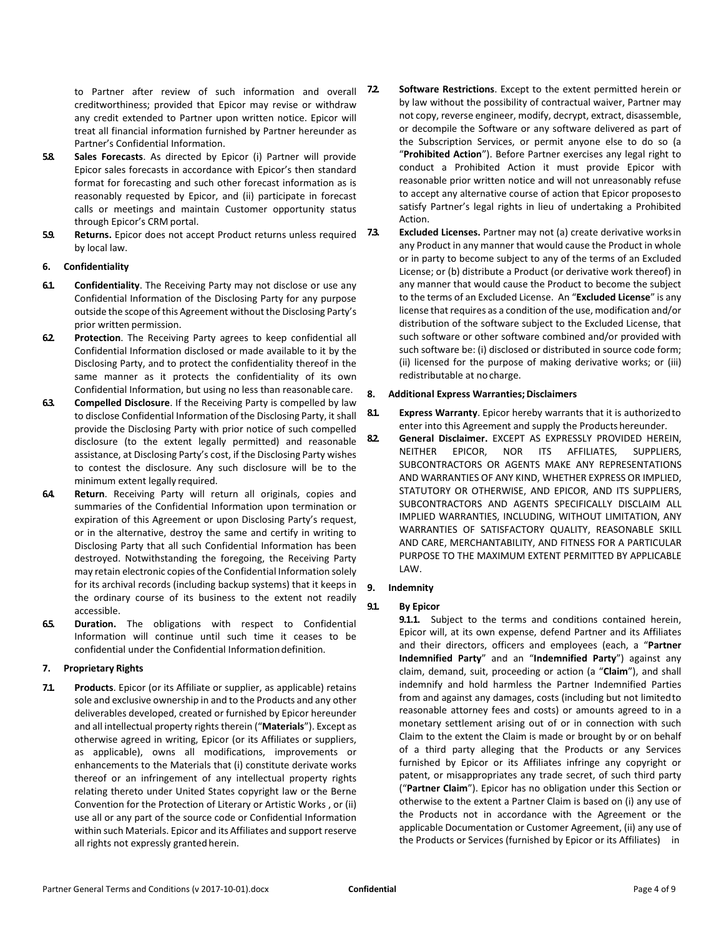to Partner after review of such information and overall 72 creditworthiness; provided that Epicor may revise or withdraw any credit extended to Partner upon written notice. Epicor will treat all financial information furnished by Partner hereunder as Partner's Confidential Information.

- **5.8. Sales Forecasts**. As directed by Epicor (i) Partner will provide Epicor sales forecasts in accordance with Epicor's then standard format for forecasting and such other forecast information as is reasonably requested by Epicor, and (ii) participate in forecast calls or meetings and maintain Customer opportunity status through Epicor's CRM portal.
- **5.9. Returns.** Epicor does not accept Product returns unless required 73. by local law.

### <span id="page-3-2"></span>**6. Confidentiality**

- **6.1. Confidentiality**. The Receiving Party may not disclose or use any Confidential Information of the Disclosing Party for any purpose outside the scope of this Agreement without the Disclosing Party's prior written permission.
- **6.2. Protection**. The Receiving Party agrees to keep confidential all Confidential Information disclosed or made available to it by the Disclosing Party, and to protect the confidentiality thereof in the same manner as it protects the confidentiality of its own Confidential Information, but using no less than reasonablecare.
- **6.3. Compelled Disclosure**. If the Receiving Party is compelled by law to disclose Confidential Information of the Disclosing Party, it shall provide the Disclosing Party with prior notice of such compelled disclosure (to the extent legally permitted) and reasonable assistance, at Disclosing Party's cost, if the Disclosing Party wishes to contest the disclosure. Any such disclosure will be to the minimum extent legally required.
- **6.4. Return**. Receiving Party will return all originals, copies and summaries of the Confidential Information upon termination or expiration of this Agreement or upon Disclosing Party's request, or in the alternative, destroy the same and certify in writing to Disclosing Party that all such Confidential Information has been destroyed. Notwithstanding the foregoing, the Receiving Party may retain electronic copies of the Confidential Information solely for its archival records (including backup systems) that it keeps in the ordinary course of its business to the extent not readily accessible.
- **6.5. Duration.** The obligations with respect to Confidential Information will continue until such time it ceases to be confidential under the Confidential Information definition.

# <span id="page-3-3"></span>**7. Proprietary Rights**

**7.1. Products**. Epicor (or its Affiliate or supplier, as applicable) retains sole and exclusive ownership in and to the Products and any other deliverables developed, created or furnished by Epicor hereunder and all intellectual property rights therein ("**Materials**"). Except as otherwise agreed in writing, Epicor (or its Affiliates or suppliers, as applicable), owns all modifications, improvements or enhancements to the Materials that (i) constitute derivate works thereof or an infringement of any intellectual property rights relating thereto under United States copyright law or the Berne Convention for the Protection of Literary or Artistic Works , or (ii) use all or any part of the source code or Confidential Information within such Materials. Epicor and its Affiliates and support reserve all rights not expressly granted herein.

- **7.2. Software Restrictions**. Except to the extent permitted herein or by law without the possibility of contractual waiver, Partner may not copy, reverse engineer, modify, decrypt, extract, disassemble, or decompile the Software or any software delivered as part of the Subscription Services, or permit anyone else to do so (a "**Prohibited Action**"). Before Partner exercises any legal right to conduct a Prohibited Action it must provide Epicor with reasonable prior written notice and will not unreasonably refuse to accept any alternative course of action that Epicor proposesto satisfy Partner's legal rights in lieu of undertaking a Prohibited Action.
- **7.3. Excluded Licenses.** Partner may not (a) create derivative worksin any Product in any manner that would cause the Product in whole or in party to become subject to any of the terms of an Excluded License; or (b) distribute a Product (or derivative work thereof) in any manner that would cause the Product to become the subject to the terms of an Excluded License. An "**Excluded License**" is any license that requires as a condition of the use, modification and/or distribution of the software subject to the Excluded License, that such software or other software combined and/or provided with such software be: (i) disclosed or distributed in source code form; (ii) licensed for the purpose of making derivative works; or (iii) redistributable at no charge.

### **8. Additional Express Warranties;Disclaimers**

- **8.1. Express Warranty**. Epicor hereby warrants that it is authorizedto enter into this Agreement and supply the Products hereunder.
- **8.2. General Disclaimer.** EXCEPT AS EXPRESSLY PROVIDED HEREIN, NEITHER EPICOR, NOR ITS AFFILIATES, SUPPLIERS, SUBCONTRACTORS OR AGENTS MAKE ANY REPRESENTATIONS AND WARRANTIES OF ANY KIND, WHETHER EXPRESS OR IMPLIED, STATUTORY OR OTHERWISE, AND EPICOR, AND ITS SUPPLIERS, SUBCONTRACTORS AND AGENTS SPECIFICALLY DISCLAIM ALL IMPLIED WARRANTIES, INCLUDING, WITHOUT LIMITATION, ANY WARRANTIES OF SATISFACTORY QUALITY, REASONABLE SKILL AND CARE, MERCHANTABILITY, AND FITNESS FOR A PARTICULAR PURPOSE TO THE MAXIMUM EXTENT PERMITTED BY APPLICABLE LAW.

### <span id="page-3-1"></span>**9. Indemnity**

# <span id="page-3-0"></span>**9.1. By Epicor**

**9.1.1.** Subject to the terms and conditions contained herein, Epicor will, at its own expense, defend Partner and its Affiliates and their directors, officers and employees (each, a "**Partner Indemnified Party**" and an "**Indemnified Party**") against any claim, demand, suit, proceeding or action (a "**Claim**"), and shall indemnify and hold harmless the Partner Indemnified Parties from and against any damages, costs (including but not limitedto reasonable attorney fees and costs) or amounts agreed to in a monetary settlement arising out of or in connection with such Claim to the extent the Claim is made or brought by or on behalf of a third party alleging that the Products or any Services furnished by Epicor or its Affiliates infringe any copyright or patent, or misappropriates any trade secret, of such third party ("**Partner Claim**"). Epicor has no obligation under this Section or otherwise to the extent a Partner Claim is based on (i) any use of the Products not in accordance with the Agreement or the applicable Documentation or Customer Agreement, (ii) any use of the Products or Services (furnished by Epicor or its Affiliates) in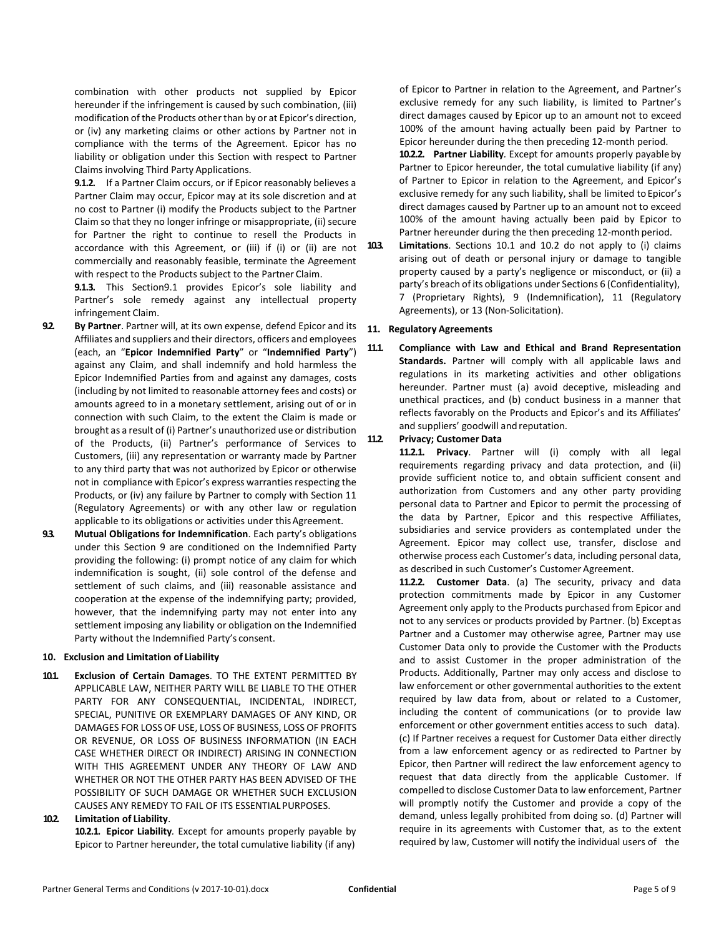combination with other products not supplied by Epicor hereunder if the infringement is caused by such combination, (iii) modification of the Products other than by or at Epicor's direction, or (iv) any marketing claims or other actions by Partner not in compliance with the terms of the Agreement. Epicor has no liability or obligation under this Section with respect to Partner Claims involving Third Party Applications.

**9.1.2.** If a Partner Claim occurs, or if Epicor reasonably believes a Partner Claim may occur, Epicor may at its sole discretion and at no cost to Partner (i) modify the Products subject to the Partner Claim so that they no longer infringe or misappropriate, (ii) secure for Partner the right to continue to resell the Products in accordance with this Agreement, or (iii) if (i) or (ii) are not commercially and reasonably feasible, terminate the Agreement with respect to the Products subject to the Partner Claim.

**9.1.3.** This Sectio[n9.1](#page-3-0) provides Epicor's sole liability and Partner's sole remedy against any intellectual property infringement Claim.

- **9.2. By Partner**. Partner will, at its own expense, defend Epicor and its Affiliates and suppliers and their directors, officers and employees (each, an "**Epicor Indemnified Party**" or "**Indemnified Party**") against any Claim, and shall indemnify and hold harmless the Epicor Indemnified Parties from and against any damages, costs (including by not limited to reasonable attorney fees and costs) or amounts agreed to in a monetary settlement, arising out of or in connection with such Claim, to the extent the Claim is made or brought as a result of (i) Partner's unauthorized use or distribution of the Products, (ii) Partner's performance of Services to Customers, (iii) any representation or warranty made by Partner to any third party that was not authorized by Epicor or otherwise not in compliance with Epicor's express warranties respecting the Products, or (iv) any failure by Partner to comply with Sectio[n 11](#page-4-0) (Regulatory Agreements) or with any other law or regulation applicable to its obligations or activities under this Agreement.
- **9.3. Mutual Obligations for Indemnification**. Each party's obligations under this Section [9](#page-3-1) are conditioned on the Indemnified Party providing the following: (i) prompt notice of any claim for which indemnification is sought, (ii) sole control of the defense and settlement of such claims, and (iii) reasonable assistance and cooperation at the expense of the indemnifying party; provided, however, that the indemnifying party may not enter into any settlement imposing any liability or obligation on the Indemnified Party without the Indemnified Party's consent.

## **10. Exclusion and Limitation of Liability**

<span id="page-4-1"></span>**10.1. Exclusion of Certain Damages**. TO THE EXTENT PERMITTED BY APPLICABLE LAW, NEITHER PARTY WILL BE LIABLE TO THE OTHER PARTY FOR ANY CONSEQUENTIAL, INCIDENTAL, INDIRECT, SPECIAL, PUNITIVE OR EXEMPLARY DAMAGES OF ANY KIND, OR DAMAGES FOR LOSS OF USE, LOSS OF BUSINESS, LOSS OF PROFITS OR REVENUE, OR LOSS OF BUSINESS INFORMATION (IN EACH CASE WHETHER DIRECT OR INDIRECT) ARISING IN CONNECTION WITH THIS AGREEMENT UNDER ANY THEORY OF LAW AND WHETHER OR NOT THE OTHER PARTY HAS BEEN ADVISED OF THE POSSIBILITY OF SUCH DAMAGE OR WHETHER SUCH EXCLUSION CAUSES ANY REMEDY TO FAIL OF ITS ESSENTIAL PURPOSES.

# <span id="page-4-2"></span>**10.2. Limitation of Liability**.

**10.2.1. Epicor Liability***.* Except for amounts properly payable by Epicor to Partner hereunder, the total cumulative liability (if any)

of Epicor to Partner in relation to the Agreement, and Partner's exclusive remedy for any such liability, is limited to Partner's direct damages caused by Epicor up to an amount not to exceed 100% of the amount having actually been paid by Partner to Epicor hereunder during the then preceding 12-month period.

**10.2.2. Partner Liability***.* Except for amounts properly payableby Partner to Epicor hereunder, the total cumulative liability (if any) of Partner to Epicor in relation to the Agreement, and Epicor's exclusive remedy for any such liability, shall be limited to Epicor's direct damages caused by Partner up to an amount not to exceed 100% of the amount having actually been paid by Epicor to Partner hereunder during the then preceding 12-month period.

**10.3. Limitations**. Sections [10.1](#page-4-1) and [10.2](#page-4-2) do not apply to (i) claims arising out of death or personal injury or damage to tangible property caused by a party's negligence or misconduct, or (ii) a party's breach of its obligations under Sections [6](#page-3-2) (Confidentiality), [7](#page-3-3) (Proprietary Rights), [9](#page-3-1) (Indemnification), [11](#page-4-0) (Regulatory Agreements), o[r 13](#page-5-0) (Non-Solicitation).

# <span id="page-4-0"></span>**11. Regulatory Agreements**

**11.1. Compliance with Law and Ethical and Brand Representation Standards.** Partner will comply with all applicable laws and regulations in its marketing activities and other obligations hereunder. Partner must (a) avoid deceptive, misleading and unethical practices, and (b) conduct business in a manner that reflects favorably on the Products and Epicor's and its Affiliates' and suppliers' goodwill and reputation.

## **11.2. Privacy; Customer Data**

**11.2.1. Privacy**. Partner will (i) comply with all legal requirements regarding privacy and data protection, and (ii) provide sufficient notice to, and obtain sufficient consent and authorization from Customers and any other party providing personal data to Partner and Epicor to permit the processing of the data by Partner, Epicor and this respective Affiliates, subsidiaries and service providers as contemplated under the Agreement. Epicor may collect use, transfer, disclose and otherwise process each Customer's data, including personal data, as described in such Customer's Customer Agreement.

**11.2.2. Customer Data**. (a) The security, privacy and data protection commitments made by Epicor in any Customer Agreement only apply to the Products purchased from Epicor and not to any services or products provided by Partner. (b) Exceptas Partner and a Customer may otherwise agree, Partner may use Customer Data only to provide the Customer with the Products and to assist Customer in the proper administration of the Products. Additionally, Partner may only access and disclose to law enforcement or other governmental authorities to the extent required by law data from, about or related to a Customer, including the content of communications (or to provide law enforcement or other government entities access to such data). (c) If Partner receives a request for Customer Data either directly from a law enforcement agency or as redirected to Partner by Epicor, then Partner will redirect the law enforcement agency to request that data directly from the applicable Customer. If compelled to disclose Customer Data to law enforcement, Partner will promptly notify the Customer and provide a copy of the demand, unless legally prohibited from doing so. (d) Partner will require in its agreements with Customer that, as to the extent required by law, Customer will notify the individual users of the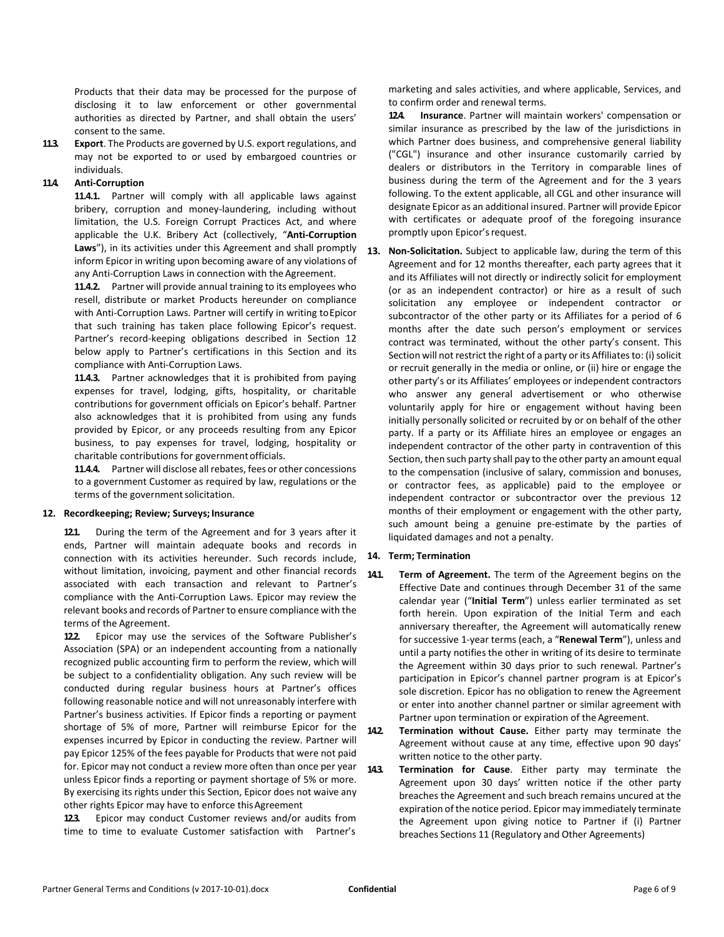Products that their data may be processed for the purpose of disclosing it to law enforcement or other governmental authorities as directed by Partner, and shall obtain the users' consent to the same.

**11.3. Export**. The Products are governed by U.S. export regulations, and may not be exported to or used by embargoed countries or individuals.

## **11.4. Anti-Corruption**

**11.4.1.** Partner will comply with all applicable laws against bribery, corruption and money-laundering, including without limitation, the U.S. Foreign Corrupt Practices Act, and where applicable the U.K. Bribery Act (collectively, "**Anti-Corruption Laws**"), in its activities under this Agreement and shall promptly inform Epicor in writing upon becoming aware of any violations of any Anti-Corruption Laws in connection with the Agreement.

**11.4.2.** Partner will provide annual training to its employees who resell, distribute or market Products hereunder on compliance with Anti-Corruption Laws. Partner will certify in writing toEpicor that such training has taken place following Epicor's request. Partner's record-keeping obligations described in Section [12](#page-5-1) below apply to Partner's certifications in this Section and its compliance with Anti-Corruption Laws.

**11.4.3.** Partner acknowledges that it is prohibited from paying expenses for travel, lodging, gifts, hospitality, or charitable contributions for government officials on Epicor's behalf. Partner also acknowledges that it is prohibited from using any funds provided by Epicor, or any proceeds resulting from any Epicor business, to pay expenses for travel, lodging, hospitality or charitable contributions for governmentofficials.

**11.4.4.** Partner will disclose all rebates, fees or other concessions to a government Customer as required by law, regulations or the terms of the government solicitation.

### <span id="page-5-1"></span>**12. Recordkeeping; Review; Surveys; Insurance**

**12.1.** During the term of the Agreement and for 3 years after it ends, Partner will maintain adequate books and records in connection with its activities hereunder. Such records include, without limitation, invoicing, payment and other financial records associated with each transaction and relevant to Partner's compliance with the Anti-Corruption Laws. Epicor may review the relevant books and records of Partner to ensure compliance with the terms of the Agreement.

**12.2.** Epicor may use the services of the Software Publisher's Association (SPA) or an independent accounting from a nationally recognized public accounting firm to perform the review, which will be subject to a confidentiality obligation. Any such review will be conducted during regular business hours at Partner's offices following reasonable notice and will not unreasonably interfere with Partner's business activities. If Epicor finds a reporting or payment shortage of 5% of more, Partner will reimburse Epicor for the expenses incurred by Epicor in conducting the review. Partner will pay Epicor 125% of the fees payable for Products that were not paid for. Epicor may not conduct a review more often than once per year 143 unless Epicor finds a reporting or payment shortage of 5% or more. By exercising its rights under this Section, Epicor does not waive any other rights Epicor may have to enforce this Agreement

**12.3.** Epicor may conduct Customer reviews and/or audits from time to time to evaluate Customer satisfaction with Partner's marketing and sales activities, and where applicable, Services, and to confirm order and renewal terms.

**12.4. Insurance**. Partner will maintain workers' compensation or similar insurance as prescribed by the law of the jurisdictions in which Partner does business, and comprehensive general liability ("CGL") insurance and other insurance customarily carried by dealers or distributors in the Territory in comparable lines of business during the term of the Agreement and for the 3 years following. To the extent applicable, all CGL and other insurance will designate Epicor as an additional insured. Partner will provide Epicor with certificates or adequate proof of the foregoing insurance promptly upon Epicor's request.

<span id="page-5-0"></span>**13. Non-Solicitation.** Subject to applicable law, during the term of this Agreement and for 12 months thereafter, each party agrees that it and its Affiliates will not directly or indirectly solicit for employment (or as an independent contractor) or hire as a result of such solicitation any employee or independent contractor or subcontractor of the other party or its Affiliates for a period of 6 months after the date such person's employment or services contract was terminated, without the other party's consent. This Section will not restrict the right of a party or its Affiliates to: (i) solicit or recruit generally in the media or online, or (ii) hire or engage the other party's or its Affiliates' employees or independent contractors who answer any general advertisement or who otherwise voluntarily apply for hire or engagement without having been initially personally solicited or recruited by or on behalf of the other party. If a party or its Affiliate hires an employee or engages an independent contractor of the other party in contravention of this Section, then such party shall pay to the other party an amount equal to the compensation (inclusive of salary, commission and bonuses, or contractor fees, as applicable) paid to the employee or independent contractor or subcontractor over the previous 12 months of their employment or engagement with the other party, such amount being a genuine pre-estimate by the parties of liquidated damages and not a penalty.

### **14. Term; Termination**

**14.1. Term of Agreement.** The term of the Agreement begins on the Effective Date and continues through December 31 of the same calendar year ("**Initial Term**") unless earlier terminated as set forth herein. Upon expiration of the Initial Term and each anniversary thereafter, the Agreement will automatically renew for successive 1-year terms (each, a "**Renewal Term**"), unless and until a party notifies the other in writing of its desire to terminate the Agreement within 30 days prior to such renewal. Partner's participation in Epicor's channel partner program is at Epicor's sole discretion. Epicor has no obligation to renew the Agreement or enter into another channel partner or similar agreement with Partner upon termination or expiration of the Agreement.

**14.2. Termination without Cause.** Either party may terminate the Agreement without cause at any time, effective upon 90 days' written notice to the other party.

**14.3. 14.3. 14.3. 14.3. 14.3. 14.3. 14.3. 14.3. 14.3. 14.3. 14.3. 14.3. 14.3. 14.3. 14.3. 14.3. 14.3. 14.3. 14.3. 14.3. 14.3. 14.3. 14.3. 14.3. 14.3. 14.3. 14.3. 14.3.** Agreement upon 30 days' written notice if the other party breaches the Agreement and such breach remains uncured at the expiration of the notice period. Epicor may immediately terminate the Agreement upon giving notice to Partner if (i) Partner breaches Sections [11](#page-4-0) (Regulatory and Other Agreements)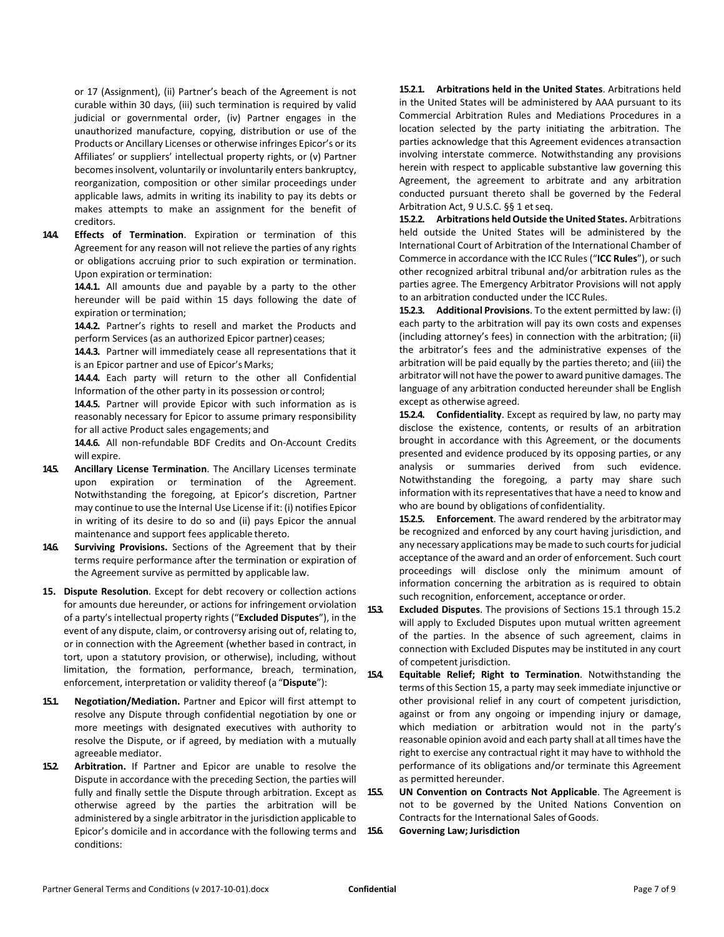or [17](#page-7-0) (Assignment), (ii) Partner's beach of the Agreement is not curable within 30 days, (iii) such termination is required by valid judicial or governmental order, (iv) Partner engages in the unauthorized manufacture, copying, distribution or use of the Products or Ancillary Licenses or otherwise infringes Epicor's or its Affiliates' or suppliers' intellectual property rights, or (v) Partner becomes insolvent, voluntarily or involuntarily enters bankruptcy, reorganization, composition or other similar proceedings under applicable laws, admits in writing its inability to pay its debts or makes attempts to make an assignment for the benefit of creditors.

**14.4. Effects of Termination**. Expiration or termination of this Agreement for any reason will not relieve the parties of any rights or obligations accruing prior to such expiration or termination. Upon expiration or termination:

> **14.4.1.** All amounts due and payable by a party to the other hereunder will be paid within 15 days following the date of expiration or termination;

> **14.4.2.** Partner's rights to resell and market the Products and perform Services (as an authorized Epicor partner) ceases;

> **14.4.3.** Partner will immediately cease all representations that it is an Epicor partner and use of Epicor's Marks;

> **14.4.4.** Each party will return to the other all Confidential Information of the other party in its possession or control;

> **14.4.5.** Partner will provide Epicor with such information as is reasonably necessary for Epicor to assume primary responsibility for all active Product sales engagements; and

> **14.4.6.** All non-refundable BDF Credits and On-Account Credits will expire.

- **14.5. Ancillary License Termination**. The Ancillary Licenses terminate upon expiration or termination of the Agreement. Notwithstanding the foregoing, at Epicor's discretion, Partner may continue to use the Internal Use License if it: (i) notifies Epicor in writing of its desire to do so and (ii) pays Epicor the annual maintenance and support fees applicable thereto.
- **14.6. Surviving Provisions.** Sections of the Agreement that by their terms require performance after the termination or expiration of the Agreement survive as permitted by applicable law.
- **15. Dispute Resolution**. Except for debt recovery or collection actions for amounts due hereunder, or actions for infringement orviolation of a party'sintellectual property rights ("**Excluded Disputes**"), in the event of any dispute, claim, or controversy arising out of, relating to, or in connection with the Agreement (whether based in contract, in tort, upon a statutory provision, or otherwise), including, without limitation, the formation, performance, breach, termination, enforcement, interpretation or validity thereof (a "**Dispute**"):
- **15.1. Negotiation/Mediation.** Partner and Epicor will first attempt to resolve any Dispute through confidential negotiation by one or more meetings with designated executives with authority to resolve the Dispute, or if agreed, by mediation with a mutually agreeable mediator.
- **15.2. Arbitration.** If Partner and Epicor are unable to resolve the Dispute in accordance with the preceding Section, the parties will fully and finally settle the Dispute through arbitration. Except as 155. otherwise agreed by the parties the arbitration will be administered by a single arbitrator in the jurisdiction applicable to Epicor's domicile and in accordance with the following terms and conditions:

**15.2.1. Arbitrations held in the United States**. Arbitrations held in the United States will be administered by AAA pursuant to its Commercial Arbitration Rules and Mediations Procedures in a location selected by the party initiating the arbitration. The parties acknowledge that this Agreement evidences atransaction involving interstate commerce. Notwithstanding any provisions herein with respect to applicable substantive law governing this Agreement, the agreement to arbitrate and any arbitration conducted pursuant thereto shall be governed by the Federal Arbitration Act, 9 U.S.C. §§ 1 et seq.

**15.2.2. Arbitrations heldOutside the United States.** Arbitrations held outside the United States will be administered by the International Court of Arbitration of the International Chamber of Commerce in accordance with the ICC Rules ("**ICC Rules**"), or such other recognized arbitral tribunal and/or arbitration rules as the parties agree. The Emergency Arbitrator Provisions will not apply to an arbitration conducted under the ICC Rules.

**15.2.3. Additional Provisions**. To the extent permitted by law: (i) each party to the arbitration will pay its own costs and expenses (including attorney's fees) in connection with the arbitration; (ii) the arbitrator's fees and the administrative expenses of the arbitration will be paid equally by the parties thereto; and (iii) the arbitrator will not have the power to award punitive damages. The language of any arbitration conducted hereunder shall be English except as otherwise agreed.

**15.2.4. Confidentiality**. Except as required by law, no party may disclose the existence, contents, or results of an arbitration brought in accordance with this Agreement, or the documents presented and evidence produced by its opposing parties, or any analysis or summaries derived from such evidence. Notwithstanding the foregoing, a party may share such information with its representatives that have a need to know and who are bound by obligations of confidentiality.

**15.2.5. Enforcement**. The award rendered by the arbitratormay be recognized and enforced by any court having jurisdiction, and any necessary applications may be made to such courts for judicial acceptance of the award and an order of enforcement. Such court proceedings will disclose only the minimum amount of information concerning the arbitration as is required to obtain such recognition, enforcement, acceptance or order.

**15.3. Excluded Disputes**. The provisions of Sections 15.1 through 15.2 will apply to Excluded Disputes upon mutual written agreement of the parties. In the absence of such agreement, claims in connection with Excluded Disputes may be instituted in any court of competent jurisdiction.

**15.4. Equitable Relief; Right to Termination**. Notwithstanding the terms of this Section 15, a party may seek immediate injunctive or other provisional relief in any court of competent jurisdiction, against or from any ongoing or impending injury or damage, which mediation or arbitration would not in the party's reasonable opinion avoid and each party shall at all times have the right to exercise any contractual right it may have to withhold the performance of its obligations and/or terminate this Agreement as permitted hereunder.

**15.5. UN Convention on Contracts Not Applicable**. The Agreement is not to be governed by the United Nations Convention on Contracts for the International Sales of Goods.

**15.6. Governing Law;Jurisdiction**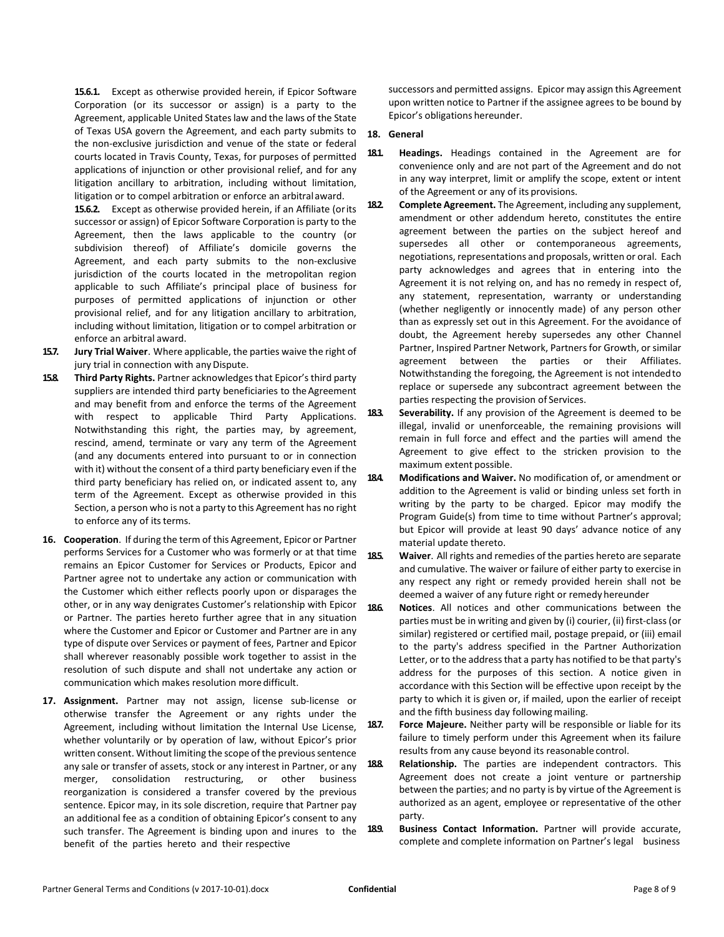**15.6.1.** Except as otherwise provided herein, if Epicor Software Corporation (or its successor or assign) is a party to the Agreement, applicable United States law and the laws of the State of Texas USA govern the Agreement, and each party submits to the non-exclusive jurisdiction and venue of the state or federal courts located in Travis County, Texas, for purposes of permitted applications of injunction or other provisional relief, and for any litigation ancillary to arbitration, including without limitation, litigation or to compel arbitration or enforce an arbitralaward.

**15.6.2.** Except as otherwise provided herein, if an Affiliate (orits successor or assign) of Epicor Software Corporation is party to the Agreement, then the laws applicable to the country (or subdivision thereof) of Affiliate's domicile governs the Agreement, and each party submits to the non-exclusive jurisdiction of the courts located in the metropolitan region applicable to such Affiliate's principal place of business for purposes of permitted applications of injunction or other provisional relief, and for any litigation ancillary to arbitration, including without limitation, litigation or to compel arbitration or enforce an arbitral award.

- **15.7. Jury Trial Waiver**. Where applicable, the parties waive the right of jury trial in connection with any Dispute.
- **15.8. Third Party Rights.** Partner acknowledgesthat Epicor's third party suppliers are intended third party beneficiaries to the Agreement and may benefit from and enforce the terms of the Agreement with respect to applicable Third Party Applications. Notwithstanding this right, the parties may, by agreement, rescind, amend, terminate or vary any term of the Agreement (and any documents entered into pursuant to or in connection with it) without the consent of a third party beneficiary even if the third party beneficiary has relied on, or indicated assent to, any term of the Agreement. Except as otherwise provided in this Section, a person who is not a party to this Agreement has no right to enforce any of its terms.
- **16. Cooperation**. If during the term of this Agreement, Epicor or Partner performs Services for a Customer who was formerly or at that time remains an Epicor Customer for Services or Products, Epicor and Partner agree not to undertake any action or communication with the Customer which either reflects poorly upon or disparages the other, or in any way denigrates Customer's relationship with Epicor or Partner. The parties hereto further agree that in any situation where the Customer and Epicor or Customer and Partner are in any type of dispute over Services or payment of fees, Partner and Epicor shall wherever reasonably possible work together to assist in the resolution of such dispute and shall not undertake any action or communication which makes resolution moredifficult.
- <span id="page-7-0"></span>**17. Assignment.** Partner may not assign, license sub-license or otherwise transfer the Agreement or any rights under the Agreement, including without limitation the Internal Use License, whether voluntarily or by operation of law, without Epicor's prior written consent. Without limiting the scope of the previous sentence any sale or transfer of assets, stock or any interest in Partner, or any merger, consolidation restructuring, or other business reorganization is considered a transfer covered by the previous sentence. Epicor may, in its sole discretion, require that Partner pay an additional fee as a condition of obtaining Epicor's consent to any such transfer. The Agreement is binding upon and inures to the benefit of the parties hereto and their respective

successors and permitted assigns. Epicor may assign this Agreement upon written notice to Partner if the assignee agrees to be bound by Epicor's obligations hereunder.

## **18. General**

- **18.1. Headings.** Headings contained in the Agreement are for convenience only and are not part of the Agreement and do not in any way interpret, limit or amplify the scope, extent or intent of the Agreement or any of its provisions.
- **18.2. Complete Agreement.** The Agreement, including any supplement, amendment or other addendum hereto, constitutes the entire agreement between the parties on the subject hereof and supersedes all other or contemporaneous agreements, negotiations, representations and proposals, written or oral. Each party acknowledges and agrees that in entering into the Agreement it is not relying on, and has no remedy in respect of, any statement, representation, warranty or understanding (whether negligently or innocently made) of any person other than as expressly set out in this Agreement. For the avoidance of doubt, the Agreement hereby supersedes any other Channel Partner, Inspired Partner Network, Partners for Growth, or similar agreement between the parties or their Affiliates. Notwithstanding the foregoing, the Agreement is not intendedto replace or supersede any subcontract agreement between the parties respecting the provision of Services.
- **18.3. Severability.** If any provision of the Agreement is deemed to be illegal, invalid or unenforceable, the remaining provisions will remain in full force and effect and the parties will amend the Agreement to give effect to the stricken provision to the maximum extent possible.
- **18.4. Modifications and Waiver.** No modification of, or amendment or addition to the Agreement is valid or binding unless set forth in writing by the party to be charged. Epicor may modify the Program Guide(s) from time to time without Partner's approval; but Epicor will provide at least 90 days' advance notice of any material update thereto.
- **18.5. Waiver**. All rights and remedies of the parties hereto are separate and cumulative. The waiver or failure of either party to exercise in any respect any right or remedy provided herein shall not be deemed a waiver of any future right or remedy hereunder
- **18.6. Notices**. All notices and other communications between the parties must be in writing and given by (i) courier, (ii) first-class(or similar) registered or certified mail, postage prepaid, or (iii) email to the party's address specified in the Partner Authorization Letter, or to the address that a party has notified to be that party's address for the purposes of this section. A notice given in accordance with this Section will be effective upon receipt by the party to which it is given or, if mailed, upon the earlier of receipt and the fifth business day following mailing.
- **18.7. Force Majeure.** Neither party will be responsible or liable for its failure to timely perform under this Agreement when its failure results from any cause beyond its reasonable control.
- **18.8. Relationship.** The parties are independent contractors. This Agreement does not create a joint venture or partnership between the parties; and no party is by virtue of the Agreement is authorized as an agent, employee or representative of the other party.
- 189. **Business Contact Information.** Partner will provide accurate, complete and complete information on Partner's legal business